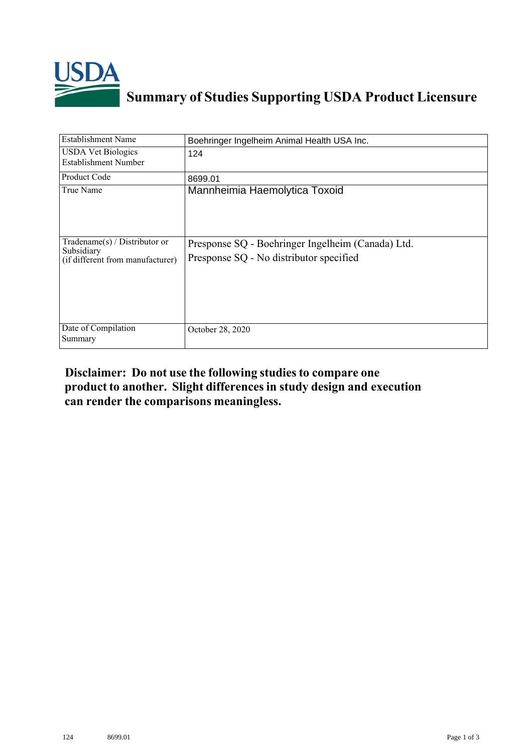

## **Summary of Studies Supporting USDA Product Licensure**

| <b>Establishment Name</b>                                                          | Boehringer Ingelheim Animal Health USA Inc.                                                  |
|------------------------------------------------------------------------------------|----------------------------------------------------------------------------------------------|
| <b>USDA Vet Biologics</b><br><b>Establishment Number</b>                           | 124                                                                                          |
| Product Code                                                                       | 8699.01                                                                                      |
| True Name                                                                          | Mannheimia Haemolytica Toxoid                                                                |
| Tradename $(s)$ / Distributor or<br>Subsidiary<br>(if different from manufacturer) | Presponse SQ - Boehringer Ingelheim (Canada) Ltd.<br>Presponse SQ - No distributor specified |
| Date of Compilation<br>Summary                                                     | October 28, 2020                                                                             |

## **Disclaimer: Do not use the following studiesto compare one product to another. Slight differencesin study design and execution can render the comparisons meaningless.**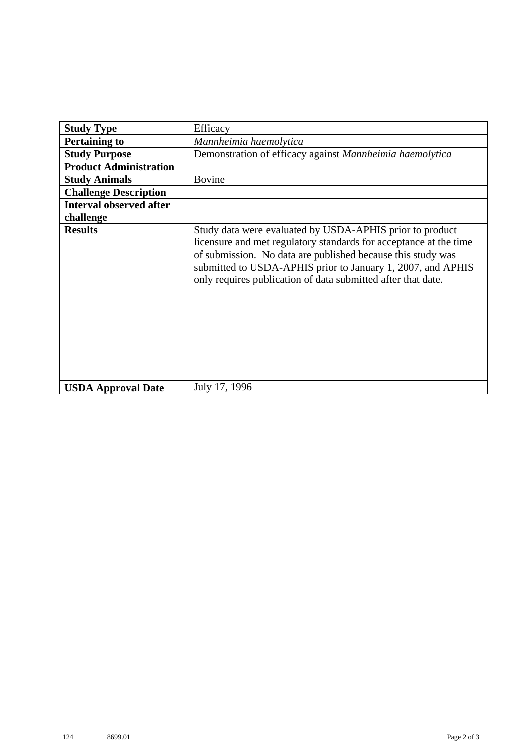| <b>Study Type</b>              | Efficacy                                                                                                                                                                                                                                                                                                                    |
|--------------------------------|-----------------------------------------------------------------------------------------------------------------------------------------------------------------------------------------------------------------------------------------------------------------------------------------------------------------------------|
| <b>Pertaining to</b>           | Mannheimia haemolytica                                                                                                                                                                                                                                                                                                      |
| <b>Study Purpose</b>           | Demonstration of efficacy against Mannheimia haemolytica                                                                                                                                                                                                                                                                    |
| <b>Product Administration</b>  |                                                                                                                                                                                                                                                                                                                             |
| <b>Study Animals</b>           | <b>Bovine</b>                                                                                                                                                                                                                                                                                                               |
| <b>Challenge Description</b>   |                                                                                                                                                                                                                                                                                                                             |
| <b>Interval observed after</b> |                                                                                                                                                                                                                                                                                                                             |
| challenge                      |                                                                                                                                                                                                                                                                                                                             |
| <b>Results</b>                 | Study data were evaluated by USDA-APHIS prior to product<br>licensure and met regulatory standards for acceptance at the time<br>of submission. No data are published because this study was<br>submitted to USDA-APHIS prior to January 1, 2007, and APHIS<br>only requires publication of data submitted after that date. |
| <b>USDA Approval Date</b>      | July 17, 1996                                                                                                                                                                                                                                                                                                               |